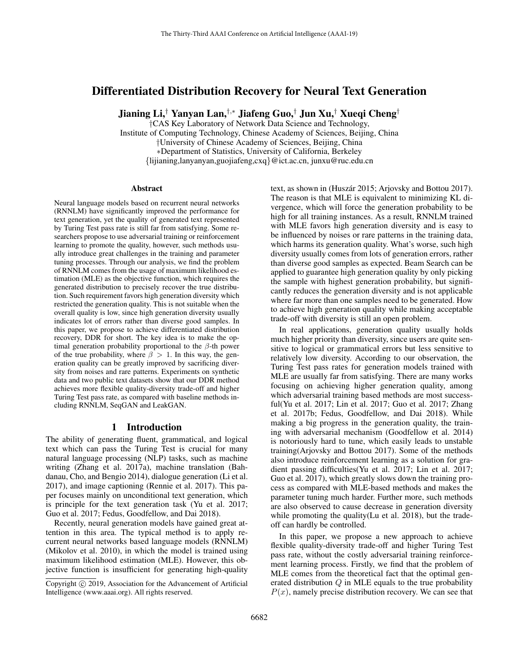# Differentiated Distribution Recovery for Neural Text Generation

Jianing Li,† Yanyan Lan,†,<sup>∗</sup> Jiafeng Guo,† Jun Xu,† Xueqi Cheng†

†CAS Key Laboratory of Network Data Science and Technology,

Institute of Computing Technology, Chinese Academy of Sciences, Beijing, China †University of Chinese Academy of Sciences, Beijing, China ∗Department of Statistics, University of California, Berkeley {lijianing,lanyanyan,guojiafeng,cxq}@ict.ac.cn, junxu@ruc.edu.cn

#### **Abstract**

Neural language models based on recurrent neural networks (RNNLM) have significantly improved the performance for text generation, yet the quality of generated text represented by Turing Test pass rate is still far from satisfying. Some researchers propose to use adversarial training or reinforcement learning to promote the quality, however, such methods usually introduce great challenges in the training and parameter tuning processes. Through our analysis, we find the problem of RNNLM comes from the usage of maximum likelihood estimation (MLE) as the objective function, which requires the generated distribution to precisely recover the true distribution. Such requirement favors high generation diversity which restricted the generation quality. This is not suitable when the overall quality is low, since high generation diversity usually indicates lot of errors rather than diverse good samples. In this paper, we propose to achieve differentiated distribution recovery, DDR for short. The key idea is to make the optimal generation probability proportional to the  $\beta$ -th power of the true probability, where  $\beta > 1$ . In this way, the generation quality can be greatly improved by sacrificing diversity from noises and rare patterns. Experiments on synthetic data and two public text datasets show that our DDR method achieves more flexible quality-diversity trade-off and higher Turing Test pass rate, as compared with baseline methods including RNNLM, SeqGAN and LeakGAN.

## 1 Introduction

The ability of generating fluent, grammatical, and logical text which can pass the Turing Test is crucial for many natural language processing (NLP) tasks, such as machine writing (Zhang et al. 2017a), machine translation (Bahdanau, Cho, and Bengio 2014), dialogue generation (Li et al. 2017), and image captioning (Rennie et al. 2017). This paper focuses mainly on unconditional text generation, which is principle for the text generation task (Yu et al. 2017; Guo et al. 2017; Fedus, Goodfellow, and Dai 2018).

Recently, neural generation models have gained great attention in this area. The typical method is to apply recurrent neural networks based language models (RNNLM) (Mikolov et al. 2010), in which the model is trained using maximum likelihood estimation (MLE). However, this objective function is insufficient for generating high-quality text, as shown in (Huszár 2015; Arjovsky and Bottou 2017). The reason is that MLE is equivalent to minimizing KL divergence, which will force the generation probability to be high for all training instances. As a result, RNNLM trained with MLE favors high generation diversity and is easy to be influenced by noises or rare patterns in the training data, which harms its generation quality. What's worse, such high diversity usually comes from lots of generation errors, rather than diverse good samples as expected. Beam Search can be applied to guarantee high generation quality by only picking the sample with highest generation probability, but significantly reduces the generation diversity and is not applicable where far more than one samples need to be generated. How to achieve high generation quality while making acceptable trade-off with diversity is still an open problem.

In real applications, generation quality usually holds much higher priority than diversity, since users are quite sensitive to logical or grammatical errors but less sensitive to relatively low diversity. According to our observation, the Turing Test pass rates for generation models trained with MLE are usually far from satisfying. There are many works focusing on achieving higher generation quality, among which adversarial training based methods are most successful(Yu et al. 2017; Lin et al. 2017; Guo et al. 2017; Zhang et al. 2017b; Fedus, Goodfellow, and Dai 2018). While making a big progress in the generation quality, the training with adversarial mechanism (Goodfellow et al. 2014) is notoriously hard to tune, which easily leads to unstable training(Arjovsky and Bottou 2017). Some of the methods also introduce reinforcement learning as a solution for gradient passing difficulties(Yu et al. 2017; Lin et al. 2017; Guo et al. 2017), which greatly slows down the training process as compared with MLE-based methods and makes the parameter tuning much harder. Further more, such methods are also observed to cause decrease in generation diversity while promoting the quality(Lu et al. 2018), but the tradeoff can hardly be controlled.

In this paper, we propose a new approach to achieve flexible quality-diversity trade-off and higher Turing Test pass rate, without the costly adversarial training reinforcement learning process. Firstly, we find that the problem of MLE comes from the theoretical fact that the optimal generated distribution  $Q$  in MLE equals to the true probability  $P(x)$ , namely precise distribution recovery. We can see that

Copyright (c) 2019, Association for the Advancement of Artificial Intelligence (www.aaai.org). All rights reserved.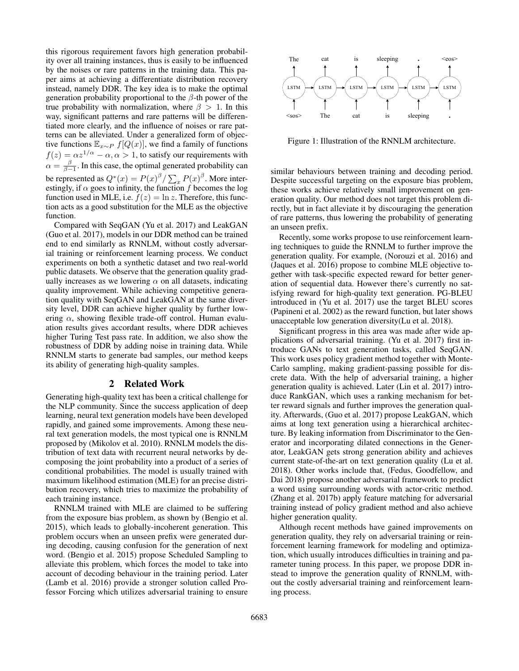this rigorous requirement favors high generation probability over all training instances, thus is easily to be influenced by the noises or rare patterns in the training data. This paper aims at achieving a differentiate distribution recovery instead, namely DDR. The key idea is to make the optimal generation probability proportional to the  $\beta$ -th power of the true probability with normalization, where  $\beta > 1$ . In this way, significant patterns and rare patterns will be differentiated more clearly, and the influence of noises or rare patterns can be alleviated. Under a generalized form of objective functions  $\mathbb{E}_{x \sim P} f[Q(x)]$ , we find a family of functions  $f(z) = \alpha z^{1/\alpha} - \alpha, \alpha > 1$ , to satisfy our requirements with  $\alpha = \frac{\beta}{\beta - 1}$ . In this case, the optimal generated probability can be represented as  $Q^*(x) = P(x)^{\beta} / \sum_x P(x)^{\beta}$ . More interestingly, if  $\alpha$  goes to infinity, the function f becomes the log function used in MLE, i.e.  $f(z) = \ln z$ . Therefore, this function acts as a good substitution for the MLE as the objective function.

Compared with SeqGAN (Yu et al. 2017) and LeakGAN (Guo et al. 2017), models in our DDR method can be trained end to end similarly as RNNLM, without costly adversarial training or reinforcement learning process. We conduct experiments on both a synthetic dataset and two real-world public datasets. We observe that the generation quality gradually increases as we lowering  $\alpha$  on all datasets, indicating quality improvement. While achieving competitive generation quality with SeqGAN and LeakGAN at the same diversity level, DDR can achieve higher quality by further lowering  $\alpha$ , showing flexible trade-off control. Human evaluation results gives accordant results, where DDR achieves higher Turing Test pass rate. In addition, we also show the robustness of DDR by adding noise in training data. While RNNLM starts to generate bad samples, our method keeps its ability of generating high-quality samples.

## 2 Related Work

Generating high-quality text has been a critical challenge for the NLP community. Since the success application of deep learning, neural text generation models have been developed rapidly, and gained some improvements. Among these neural text generation models, the most typical one is RNNLM proposed by (Mikolov et al. 2010). RNNLM models the distribution of text data with recurrent neural networks by decomposing the joint probability into a product of a series of conditional probabilities. The model is usually trained with maximum likelihood estimation (MLE) for an precise distribution recovery, which tries to maximize the probability of each training instance.

RNNLM trained with MLE are claimed to be suffering from the exposure bias problem, as shown by (Bengio et al. 2015), which leads to globally-incoherent generation. This problem occurs when an unseen prefix were generated during decoding, causing confusion for the generation of next word. (Bengio et al. 2015) propose Scheduled Sampling to alleviate this problem, which forces the model to take into account of decoding behaviour in the training period. Later (Lamb et al. 2016) provide a stronger solution called Professor Forcing which utilizes adversarial training to ensure



Figure 1: Illustration of the RNNLM architecture.

similar behaviours between training and decoding period. Despite successful targeting on the exposure bias problem, these works achieve relatively small improvement on generation quality. Our method does not target this problem directly, but in fact alleviate it by discouraging the generation of rare patterns, thus lowering the probability of generating an unseen prefix.

Recently, some works propose to use reinforcement learning techniques to guide the RNNLM to further improve the generation quality. For example, (Norouzi et al. 2016) and (Jaques et al. 2016) propose to combine MLE objective together with task-specific expected reward for better generation of sequential data. However there's currently no satisfying reward for high-quality text generation. PG-BLEU introduced in (Yu et al. 2017) use the target BLEU scores (Papineni et al. 2002) as the reward function, but later shows unacceptable low generation diversity(Lu et al. 2018).

Significant progress in this area was made after wide applications of adversarial training. (Yu et al. 2017) first introduce GANs to text generation tasks, called SeqGAN. This work uses policy gradient method together with Monte-Carlo sampling, making gradient-passing possible for discrete data. With the help of adversarial training, a higher generation quality is achieved. Later (Lin et al. 2017) introduce RankGAN, which uses a ranking mechanism for better reward signals and further improves the generation quality. Afterwards, (Guo et al. 2017) propose LeakGAN, which aims at long text generation using a hierarchical architecture. By leaking information from Discriminator to the Generator and incorporating dilated connections in the Generator, LeakGAN gets strong generation ability and achieves current state-of-the-art on text generation quality (Lu et al. 2018). Other works include that, (Fedus, Goodfellow, and Dai 2018) propose another adversarial framework to predict a word using surrounding words with actor-critic method. (Zhang et al. 2017b) apply feature matching for adversarial training instead of policy gradient method and also achieve higher generation quality.

Although recent methods have gained improvements on generation quality, they rely on adversarial training or reinforcement learning framework for modeling and optimization, which usually introduces difficulties in training and parameter tuning process. In this paper, we propose DDR instead to improve the generation quality of RNNLM, without the costly adversarial training and reinforcement learning process.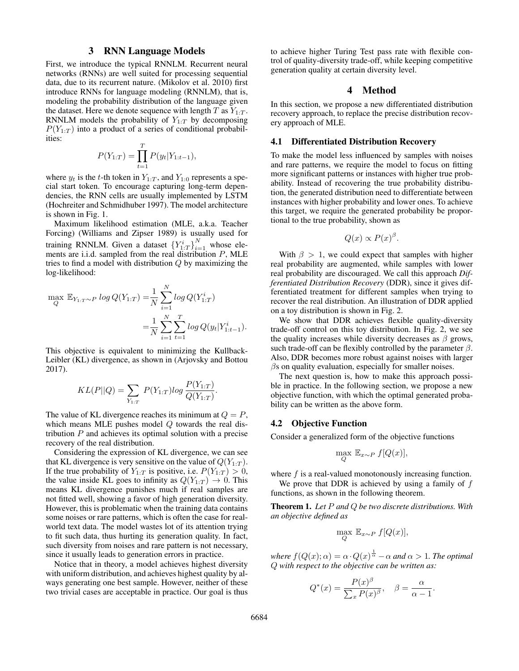## 3 RNN Language Models

First, we introduce the typical RNNLM. Recurrent neural networks (RNNs) are well suited for processing sequential data, due to its recurrent nature. (Mikolov et al. 2010) first introduce RNNs for language modeling (RNNLM), that is, modeling the probability distribution of the language given the dataset. Here we denote sequence with length  $T$  as  $Y_{1:T}$ . RNNLM models the probability of  $Y_{1:T}$  by decomposing  $P(Y_{1:T})$  into a product of a series of conditional probabilities:

$$
P(Y_{1:T}) = \prod_{t=1}^{T} P(y_t|Y_{1:t-1}),
$$

where  $y_t$  is the t-th token in  $Y_{1:T}$ , and  $Y_{1:0}$  represents a special start token. To encourage capturing long-term dependencies, the RNN cells are usually implemented by LSTM (Hochreiter and Schmidhuber 1997). The model architecture is shown in Fig. 1.

Maximum likelihood estimation (MLE, a.k.a. Teacher Forcing) (Williams and Zipser 1989) is usually used for training RNNLM. Given a dataset  ${Y_{1:T}^i\}_{i=1}^N$  whose elements are i.i.d. sampled from the real distribution  $P$ , MLE tries to find a model with distribution Q by maximizing the log-likelihood:

$$
\max_{Q} \mathbb{E}_{Y_{1:T} \sim P} \log Q(Y_{1:T}) = \frac{1}{N} \sum_{i=1}^{N} \log Q(Y_{1:T}^i)
$$

$$
= \frac{1}{N} \sum_{i=1}^{N} \sum_{t=1}^{T} \log Q(y_t | Y_{1:t-1}^i).
$$

This objective is equivalent to minimizing the Kullback-Leibler (KL) divergence, as shown in (Arjovsky and Bottou 2017).

$$
KL(P||Q) = \sum_{Y_{1:T}} P(Y_{1:T})log \frac{P(Y_{1:T})}{Q(Y_{1:T})}.
$$

The value of KL divergence reaches its minimum at  $Q = P$ , which means MLE pushes model  $Q$  towards the real distribution  $P$  and achieves its optimal solution with a precise recovery of the real distribution.

Considering the expression of KL divergence, we can see that KL divergence is very sensitive on the value of  $Q(Y_{1:T})$ . If the true probability of  $Y_{1:T}$  is positive, i.e.  $P(Y_{1:T}) > 0$ , the value inside KL goes to infinity as  $Q(Y_{1:T}) \to 0$ . This means KL divergence punishes much if real samples are not fitted well, showing a favor of high generation diversity. However, this is problematic when the training data contains some noises or rare patterns, which is often the case for realworld text data. The model wastes lot of its attention trying to fit such data, thus hurting its generation quality. In fact, such diversity from noises and rare pattern is not necessary, since it usually leads to generation errors in practice.

Notice that in theory, a model achieves highest diversity with uniform distribution, and achieves highest quality by always generating one best sample. However, neither of these two trivial cases are acceptable in practice. Our goal is thus to achieve higher Turing Test pass rate with flexible control of quality-diversity trade-off, while keeping competitive generation quality at certain diversity level.

## 4 Method

In this section, we propose a new differentiated distribution recovery approach, to replace the precise distribution recovery approach of MLE.

#### 4.1 Differentiated Distribution Recovery

To make the model less influenced by samples with noises and rare patterns, we require the model to focus on fitting more significant patterns or instances with higher true probability. Instead of recovering the true probability distribution, the generated distribution need to differentiate between instances with higher probability and lower ones. To achieve this target, we require the generated probability be proportional to the true probability, shown as

$$
Q(x) \propto P(x)^{\beta}.
$$

With  $\beta > 1$ , we could expect that samples with higher real probability are augmented, while samples with lower real probability are discouraged. We call this approach *Differentiated Distribution Recovery* (DDR), since it gives differentiated treatment for different samples when trying to recover the real distribution. An illustration of DDR applied on a toy distribution is shown in Fig. 2.

We show that DDR achieves flexible quality-diversity trade-off control on this toy distribution. In Fig. 2, we see the quality increases while diversity decreases as  $\beta$  grows, such trade-off can be flexibly controlled by the parameter  $\beta$ . Also, DDR becomes more robust against noises with larger  $\beta$ s on quality evaluation, especially for smaller noises.

The next question is, how to make this approach possible in practice. In the following section, we propose a new objective function, with which the optimal generated probability can be written as the above form.

### 4.2 Objective Function

Consider a generalized form of the objective functions

$$
\max_{Q} \mathbb{E}_{x \sim P} f[Q(x)],
$$

where  $f$  is a real-valued monotonously increasing function.

We prove that DDR is achieved by using a family of  $f$ functions, as shown in the following theorem.

Theorem 1. *Let* P *and* Q *be two discrete distributions. With an objective defined as*

$$
\max_{Q} \mathbb{E}_{x \sim P} f[Q(x)],
$$

where  $f(Q(x); \alpha) = \alpha \cdot Q(x)^{\frac{1}{\alpha}} - \alpha$  and  $\alpha > 1$ . The optimal Q *with respect to the objective can be written as:*

$$
Q^*(x) = \frac{P(x)^{\beta}}{\sum_x P(x)^{\beta}}, \quad \beta = \frac{\alpha}{\alpha - 1}.
$$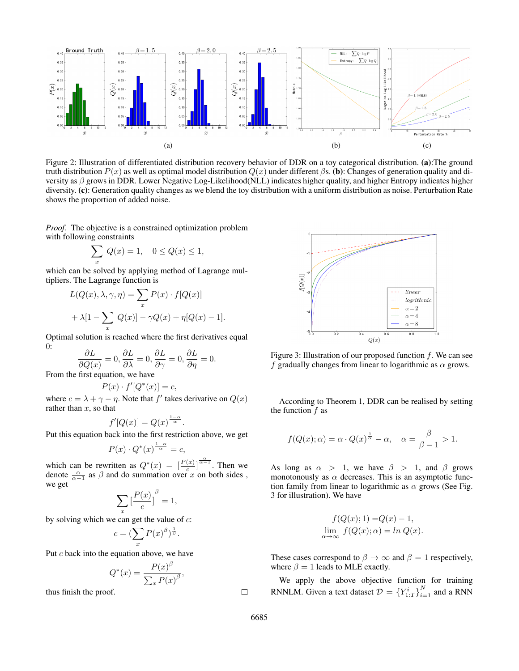

Figure 2: Illustration of differentiated distribution recovery behavior of DDR on a toy categorical distribution. (a):The ground truth distribution  $P(x)$  as well as optimal model distribution  $Q(x)$  under different βs. (b): Changes of generation quality and diversity as  $\beta$  grows in DDR. Lower Negative Log-Likelihood(NLL) indicates higher quality, and higher Entropy indicates higher diversity. (c): Generation quality changes as we blend the toy distribution with a uniform distribution as noise. Perturbation Rate shows the proportion of added noise.

*Proof.* The objective is a constrained optimization problem with following constraints

$$
\sum_{x} Q(x) = 1, \quad 0 \le Q(x) \le 1,
$$

which can be solved by applying method of Lagrange multipliers. The Lagrange function is

$$
L(Q(x), \lambda, \gamma, \eta) = \sum_{x} P(x) \cdot f[Q(x)]
$$
  
+  $\lambda[1 - \sum_{x} Q(x)] - \gamma Q(x) + \eta[Q(x) - 1].$ 

Optimal solution is reached where the first derivatives equal 0:

$$
\frac{\partial L}{\partial Q(x)} = 0, \frac{\partial L}{\partial \lambda} = 0, \frac{\partial L}{\partial \gamma} = 0, \frac{\partial L}{\partial \eta} = 0.
$$

From the first equation, we have

$$
P(x) \cdot f'[Q^*(x)] = c,
$$

where  $c = \lambda + \gamma - \eta$ . Note that f' takes derivative on  $Q(x)$ rather than  $x$ , so that

$$
f'[Q(x)] = Q(x)^{\frac{1-\alpha}{\alpha}}.
$$

Put this equation back into the first restriction above, we get

$$
P(x) \cdot Q^*(x)^{\frac{1-\alpha}{\alpha}} = c,
$$

which can be rewritten as  $Q^*(x) = \left[\frac{P(x)}{c}\right]^{\frac{\alpha}{\alpha-1}}$ . Then we denote  $\frac{\alpha}{\alpha-1}$  as  $\beta$  and do summation over x on both sides, we get

$$
\sum_x\big[\frac{P(x)}{c}\big]^\beta=1,
$$

by solving which we can get the value of  $c$ :

$$
c = (\sum_{x} P(x)^{\beta})^{\frac{1}{\beta}}.
$$

Put  $c$  back into the equation above, we have

$$
Q^*(x) = \frac{P(x)^{\beta}}{\sum_x P(x)^{\beta}},
$$

thus finish the proof.



Figure 3: Illustration of our proposed function  $f$ . We can see f gradually changes from linear to logarithmic as  $\alpha$  grows.

According to Theorem 1, DDR can be realised by setting the function  $f$  as

$$
f(Q(x); \alpha) = \alpha \cdot Q(x)^{\frac{1}{\alpha}} - \alpha, \quad \alpha = \frac{\beta}{\beta - 1} > 1.
$$

As long as  $\alpha > 1$ , we have  $\beta > 1$ , and  $\beta$  grows monotonously as  $\alpha$  decreases. This is an asymptotic function family from linear to logarithmic as  $\alpha$  grows (See Fig. 3 for illustration). We have

$$
f(Q(x); 1) = Q(x) - 1,
$$
  

$$
\lim_{\alpha \to \infty} f(Q(x); \alpha) = \ln Q(x).
$$

These cases correspond to  $\beta \to \infty$  and  $\beta = 1$  respectively, where  $\beta = 1$  leads to MLE exactly.

We apply the above objective function for training RNNLM. Given a text dataset  $\mathcal{D} = \left\{ Y_{1:T}^i \right\}_{i=1}^N$  and a RNN

 $\Box$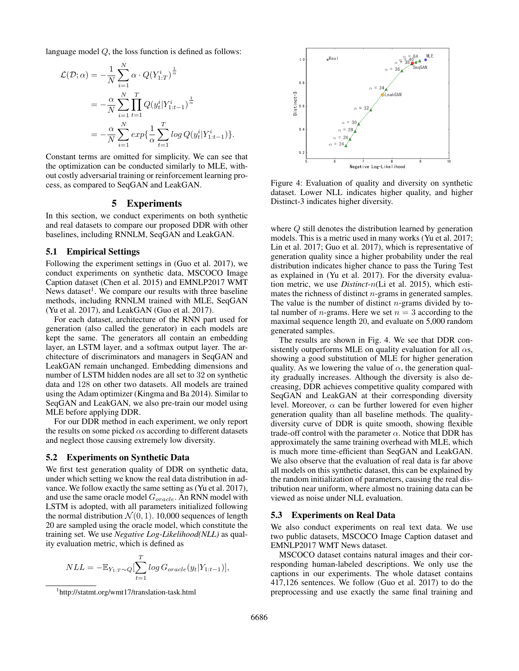language model Q, the loss function is defined as follows:

$$
\mathcal{L}(\mathcal{D}; \alpha) = -\frac{1}{N} \sum_{i=1}^{N} \alpha \cdot Q(Y_{1:T}^i)^{\frac{1}{\alpha}} \n= -\frac{\alpha}{N} \sum_{i=1}^{N} \prod_{t=1}^{T} Q(y_t^i | Y_{1:t-1}^i)^{\frac{1}{\alpha}} \n= -\frac{\alpha}{N} \sum_{i=1}^{N} exp\left\{\frac{1}{\alpha} \sum_{t=1}^{T} log Q(y_t^i | Y_{1:t-1}^i)\right\}.
$$

Constant terms are omitted for simplicity. We can see that the optimization can be conducted similarly to MLE, without costly adversarial training or reinforcement learning process, as compared to SeqGAN and LeakGAN.

## 5 Experiments

In this section, we conduct experiments on both synthetic and real datasets to compare our proposed DDR with other baselines, including RNNLM, SeqGAN and LeakGAN.

## 5.1 Empirical Settings

Following the experiment settings in (Guo et al. 2017), we conduct experiments on synthetic data, MSCOCO Image Caption dataset (Chen et al. 2015) and EMNLP2017 WMT News dataset<sup>1</sup>. We compare our results with three baseline methods, including RNNLM trained with MLE, SeqGAN (Yu et al. 2017), and LeakGAN (Guo et al. 2017).

For each dataset, architecture of the RNN part used for generation (also called the generator) in each models are kept the same. The generators all contain an embedding layer, an LSTM layer, and a softmax output layer. The architecture of discriminators and managers in SeqGAN and LeakGAN remain unchanged. Embedding dimensions and number of LSTM hidden nodes are all set to 32 on synthetic data and 128 on other two datasets. All models are trained using the Adam optimizer (Kingma and Ba 2014). Similar to SeqGAN and LeakGAN, we also pre-train our model using MLE before applying DDR.

For our DDR method in each experiment, we only report the results on some picked  $\alpha$ s according to different datasets and neglect those causing extremely low diversity.

#### 5.2 Experiments on Synthetic Data

We first test generation quality of DDR on synthetic data, under which setting we know the real data distribution in advance. We follow exactly the same setting as (Yu et al. 2017), and use the same oracle model  $G_{oracle}$ . An RNN model with LSTM is adopted, with all parameters initialized following the normal distribution  $\mathcal{N}(0, 1)$ . 10,000 sequences of length 20 are sampled using the oracle model, which constitute the training set. We use *Negative Log-Likelihood(NLL)* as quality evaluation metric, which is defined as

$$
NLL = -\mathbb{E}_{Y_{1:T}} \sim Q \left[ \sum_{t=1}^{T} \log G_{oracle}(y_t|Y_{1:t-1}) \right],
$$



Figure 4: Evaluation of quality and diversity on synthetic dataset. Lower NLL indicates higher quality, and higher Distinct-3 indicates higher diversity.

where Q still denotes the distribution learned by generation models. This is a metric used in many works (Yu et al. 2017; Lin et al. 2017; Guo et al. 2017), which is representative of generation quality since a higher probability under the real distribution indicates higher chance to pass the Turing Test as explained in (Yu et al. 2017). For the diversity evaluation metric, we use *Distinct-*n(Li et al. 2015), which estimates the richness of distinct n-grams in generated samples. The value is the number of distinct  $n$ -grams divided by total number of *n*-grams. Here we set  $n = 3$  according to the maximal sequence length 20, and evaluate on 5,000 random generated samples.

The results are shown in Fig. 4. We see that DDR consistently outperforms MLE on quality evaluation for all  $\alpha s$ , showing a good substitution of MLE for higher generation quality. As we lowering the value of  $\alpha$ , the generation quality gradually increases. Although the diversity is also decreasing, DDR achieves competitive quality compared with SeqGAN and LeakGAN at their corresponding diversity level. Moreover,  $\alpha$  can be further lowered for even higher generation quality than all baseline methods. The qualitydiversity curve of DDR is quite smooth, showing flexible trade-off control with the parameter  $\alpha$ . Notice that DDR has approximately the same training overhead with MLE, which is much more time-efficient than SeqGAN and LeakGAN. We also observe that the evaluation of real data is far above all models on this synthetic dataset, this can be explained by the random initialization of parameters, causing the real distribution near uniform, where almost no training data can be viewed as noise under NLL evaluation.

#### 5.3 Experiments on Real Data

We also conduct experiments on real text data. We use two public datasets, MSCOCO Image Caption dataset and EMNLP2017 WMT News dataset.

MSCOCO dataset contains natural images and their corresponding human-labeled descriptions. We only use the captions in our experiments. The whole dataset contains 417,126 sentences. We follow (Guo et al. 2017) to do the preprocessing and use exactly the same final training and

<sup>1</sup> http://statmt.org/wmt17/translation-task.html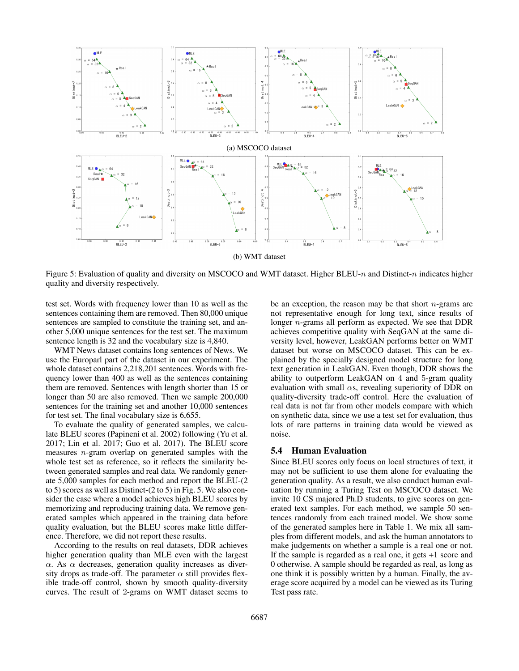

Figure 5: Evaluation of quality and diversity on MSCOCO and WMT dataset. Higher BLEU-n and Distinct-n indicates higher quality and diversity respectively.

test set. Words with frequency lower than 10 as well as the sentences containing them are removed. Then 80,000 unique sentences are sampled to constitute the training set, and another 5,000 unique sentences for the test set. The maximum sentence length is 32 and the vocabulary size is 4,840.

WMT News dataset contains long sentences of News. We use the Europarl part of the dataset in our experiment. The whole dataset contains 2,218,201 sentences. Words with frequency lower than 400 as well as the sentences containing them are removed. Sentences with length shorter than 15 or longer than 50 are also removed. Then we sample 200,000 sentences for the training set and another 10,000 sentences for test set. The final vocabulary size is 6,655.

To evaluate the quality of generated samples, we calculate BLEU scores (Papineni et al. 2002) following (Yu et al. 2017; Lin et al. 2017; Guo et al. 2017). The BLEU score measures n-gram overlap on generated samples with the whole test set as reference, so it reflects the similarity between generated samples and real data. We randomly generate 5,000 samples for each method and report the BLEU-(2 to 5) scores as well as Distinct-(2 to 5) in Fig. 5. We also consider the case where a model achieves high BLEU scores by memorizing and reproducing training data. We remove generated samples which appeared in the training data before quality evaluation, but the BLEU scores make little difference. Therefore, we did not report these results.

According to the results on real datasets, DDR achieves higher generation quality than MLE even with the largest  $\alpha$ . As  $\alpha$  decreases, generation quality increases as diversity drops as trade-off. The parameter  $\alpha$  still provides flexible trade-off control, shown by smooth quality-diversity curves. The result of 2-grams on WMT dataset seems to

be an exception, the reason may be that short  $n$ -grams are not representative enough for long text, since results of longer n-grams all perform as expected. We see that DDR achieves competitive quality with SeqGAN at the same diversity level, however, LeakGAN performs better on WMT dataset but worse on MSCOCO dataset. This can be explained by the specially designed model structure for long text generation in LeakGAN. Even though, DDR shows the ability to outperform LeakGAN on 4 and 5-gram quality evaluation with small  $\alpha s$ , revealing superiority of DDR on quality-diversity trade-off control. Here the evaluation of real data is not far from other models compare with which on synthetic data, since we use a test set for evaluation, thus lots of rare patterns in training data would be viewed as noise.

#### 5.4 Human Evaluation

Since BLEU scores only focus on local structures of text, it may not be sufficient to use them alone for evaluating the generation quality. As a result, we also conduct human evaluation by running a Turing Test on MSCOCO dataset. We invite 10 CS majored Ph.D students, to give scores on generated text samples. For each method, we sample 50 sentences randomly from each trained model. We show some of the generated samples here in Table 1. We mix all samples from different models, and ask the human annotators to make judgements on whether a sample is a real one or not. If the sample is regarded as a real one, it gets +1 score and 0 otherwise. A sample should be regarded as real, as long as one think it is possibly written by a human. Finally, the average score acquired by a model can be viewed as its Turing Test pass rate.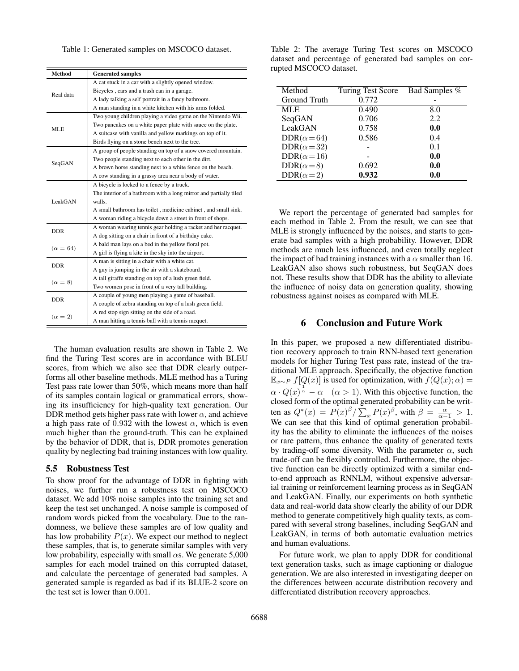Table 1: Generated samples on MSCOCO dataset.

| <b>Method</b>   | <b>Generated samples</b>                                          |  |
|-----------------|-------------------------------------------------------------------|--|
| Real data       | A cat stuck in a car with a slightly opened window.               |  |
|                 | Bicycles, cars and a trash can in a garage.                       |  |
|                 | A lady talking a self portrait in a fancy bathroom.               |  |
|                 | A man standing in a white kitchen with his arms folded.           |  |
| MLE             | Two young children playing a video game on the Nintendo Wii.      |  |
|                 | Two pancakes on a white paper plate with sauce on the plate.      |  |
|                 | A suitcase with vanilla and yellow markings on top of it.         |  |
|                 | Birds flying on a stone bench next to the tree.                   |  |
| SeqGAN          | A group of people standing on top of a snow covered mountain.     |  |
|                 | Two people standing next to each other in the dirt.               |  |
|                 | A brown horse standing next to a white fence on the beach.        |  |
|                 | A cow standing in a grassy area near a body of water.             |  |
| LeakGAN         | A bicycle is locked to a fence by a truck.                        |  |
|                 | The interior of a bathroom with a long mirror and partially tiled |  |
|                 | walls.                                                            |  |
|                 | A small bathroom has toilet, medicine cabinet, and small sink.    |  |
|                 | A woman riding a bicycle down a street in front of shops.         |  |
| <b>DDR</b>      | A woman wearing tennis gear holding a racket and her racquet.     |  |
|                 | A dog sitting on a chair in front of a birthday cake.             |  |
| $(\alpha = 64)$ | A bald man lays on a bed in the yellow floral pot.                |  |
|                 | A girl is flying a kite in the sky into the airport.              |  |
| <b>DDR</b>      | A man is sitting in a chair with a white cat.                     |  |
|                 | A guy is jumping in the air with a skateboard.                    |  |
| $(\alpha = 8)$  | A tall giraffe standing on top of a lush green field.             |  |
|                 | Two women pose in front of a very tall building.                  |  |
| <b>DDR</b>      | A couple of young men playing a game of baseball.                 |  |
|                 | A couple of zebra standing on top of a lush green field.          |  |
| $(\alpha = 2)$  | A red stop sign sitting on the side of a road.                    |  |
|                 | A man hitting a tennis ball with a tennis racquet.                |  |

The human evaluation results are shown in Table 2. We find the Turing Test scores are in accordance with BLEU scores, from which we also see that DDR clearly outperforms all other baseline methods. MLE method has a Turing Test pass rate lower than 50%, which means more than half of its samples contain logical or grammatical errors, showing its insufficiency for high-quality text generation. Our DDR method gets higher pass rate with lower  $\alpha$ , and achieve a high pass rate of 0.932 with the lowest  $\alpha$ , which is even much higher than the ground-truth. This can be explained by the behavior of DDR, that is, DDR promotes generation quality by neglecting bad training instances with low quality.

#### 5.5 Robustness Test

To show proof for the advantage of DDR in fighting with noises, we further run a robustness test on MSCOCO dataset. We add 10% noise samples into the training set and keep the test set unchanged. A noise sample is composed of random words picked from the vocabulary. Due to the randomness, we believe these samples are of low quality and has low probability  $P(x)$ . We expect our method to neglect these samples, that is, to generate similar samples with very low probability, especially with small  $\alpha$ s. We generate 5,000 samples for each model trained on this corrupted dataset, and calculate the percentage of generated bad samples. A generated sample is regarded as bad if its BLUE-2 score on the test set is lower than 0.001.

Table 2: The average Turing Test scores on MSCOCO dataset and percentage of generated bad samples on corrupted MSCOCO dataset.

| Method              | Turing Test Score | Bad Samples % |
|---------------------|-------------------|---------------|
| Ground Truth        | 0.772             |               |
| <b>MLE</b>          | 0.490             | 8.0           |
| SeqGAN              | 0.706             | 2.2           |
| LeakGAN             | 0.758             | 0.0           |
| DDR $(\alpha = 64)$ | 0.586             | 0.4           |
| DDR( $\alpha$ =32)  |                   | 0.1           |
| $DDR(\alpha=16)$    |                   | 0.0           |
| $DDR(\alpha=8)$     | 0.692             | 0.0           |
| $DDR(\alpha=2)$     | 0.932             | 0.0           |

We report the percentage of generated bad samples for each method in Table 2. From the result, we can see that MLE is strongly influenced by the noises, and starts to generate bad samples with a high probability. However, DDR methods are much less influenced, and even totally neglect the impact of bad training instances with a  $\alpha$  smaller than 16. LeakGAN also shows such robustness, but SeqGAN does not. These results show that DDR has the ability to alleviate the influence of noisy data on generation quality, showing robustness against noises as compared with MLE.

#### 6 Conclusion and Future Work

In this paper, we proposed a new differentiated distribution recovery approach to train RNN-based text generation models for higher Turing Test pass rate, instead of the traditional MLE approach. Specifically, the objective function  $\mathbb{E}_{x \sim P} f[Q(x)]$  is used for optimization, with  $f(Q(x); \alpha) =$  $\alpha \cdot Q(x)^{\frac{1}{\alpha}} - \alpha \quad (\alpha > 1)$ . With this objective function, the closed form of the optimal generated probability can be written as  $Q^*(x) = P(x)^{\beta} / \sum_x P(x)^{\beta}$ , with  $\beta = \frac{\alpha}{\alpha - 1} > 1$ . We can see that this kind of optimal generation probability has the ability to eliminate the influences of the noises or rare pattern, thus enhance the quality of generated texts by trading-off some diversity. With the parameter  $\alpha$ , such trade-off can be flexibly controlled. Furthermore, the objective function can be directly optimized with a similar endto-end approach as RNNLM, without expensive adversarial training or reinforcement learning process as in SeqGAN and LeakGAN. Finally, our experiments on both synthetic data and real-world data show clearly the ability of our DDR method to generate competitively high quality texts, as compared with several strong baselines, including SeqGAN and LeakGAN, in terms of both automatic evaluation metrics and human evaluations.

For future work, we plan to apply DDR for conditional text generation tasks, such as image captioning or dialogue generation. We are also interested in investigating deeper on the differences between accurate distribution recovery and differentiated distribution recovery approaches.